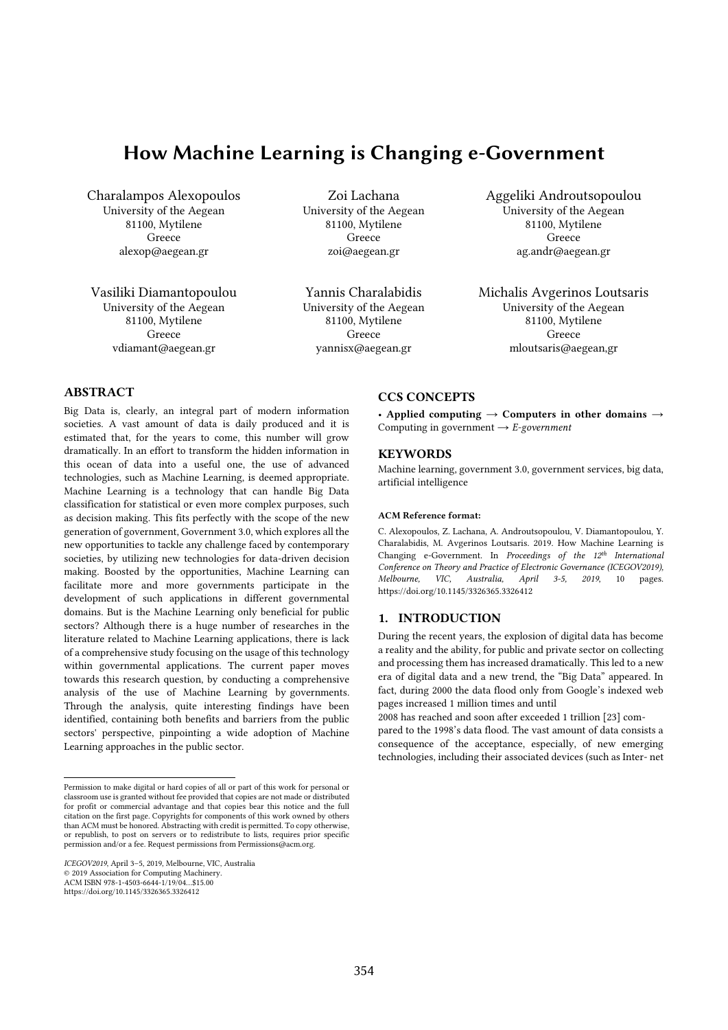# How Machine Learning is Changing e-Government

Charalampos Alexopoulos University of the Aegean 81100, Mytilene Greece alexop@aegean.gr

Vasiliki Diamantopoulou University of the Aegean 81100, Mytilene Greece vdiamant@aegean.gr

Zoi Lachana University of the Aegean 81100, Mytilene Greece zoi@aegean.gr

Yannis Charalabidis University of the Aegean 81100, Mytilene Greece yannisx@aegean.gr

Aggeliki Androutsopoulou University of the Aegean 81100, Mytilene Greece ag.andr@aegean.gr

Michalis Avgerinos Loutsaris University of the Aegean 81100, Mytilene Greece mloutsaris@aegean,gr

## **ABSTRACT**

Big Data is, clearly, an integral part of modern information societies. A vast amount of data is daily produced and it is estimated that, for the years to come, this number will grow dramatically. In an effort to transform the hidden information in this ocean of data into a useful one, the use of advanced technologies, such as Machine Learning, is deemed appropriate. Machine Learning is a technology that can handle Big Data classification for statistical or even more complex purposes, such as decision making. This fits perfectly with the scope of the new generation of government, Government 3.0, which explores all the new opportunities to tackle any challenge faced by contemporary societies, by utilizing new technologies for data-driven decision making. Boosted by the opportunities, Machine Learning can facilitate more and more governments participate in the development of such applications in different governmental domains. But is the Machine Learning only beneficial for public sectors? Although there is a huge number of researches in the literature related to Machine Learning applications, there is lack of a comprehensive study focusing on the usage of this technology within governmental applications. The current paper moves towards this research question, by conducting a comprehensive analysis of the use of Machine Learning by governments. Through the analysis, quite interesting findings have been identified, containing both benefits and barriers from the public sectors' perspective, pinpointing a wide adoption of Machine Learning approaches in the public sector.

## CCS CONCEPTS

• Applied computing  $\rightarrow$  Computers in other domains  $\rightarrow$ Computing in government → *E-government*

## **KEYWORDS**

Machine learning, government 3.0, government services, big data, artificial intelligence

## ACM Reference format:

C. Alexopoulos, Z. Lachana, A. Androutsopoulou, V. Diamantopoulou, Y. Charalabidis, M. Avgerinos Loutsaris. 2019. How Machine Learning is Changing e-Government. In *Proceedings of the 12th International Conference on Theory and Practice of Electronic Governance (ICEGOV2019), Melbourne, VIC, Australia, April 3-5, 2019*, 10 pages. https://doi.org/10.1145/3326365.3326412

## 1. INTRODUCTION

During the recent years, the explosion of digital data has become a reality and the ability, for public and private sector on collecting and processing them has increased dramatically. This led to a new era of digital data and a new trend, the "Big Data" appeared. In fact, during 2000 the data flood only from Google's indexed web pages increased 1 million times and until

2008 has reached and soon after exceeded 1 trillion [23] com-

pared to the 1998's data flood. The vast amount of data consists a consequence of the acceptance, especially, of new emerging technologies, including their associated devices (such as Inter- net

 Permission to make digital or hard copies of all or part of this work for personal or classroom use is granted without fee provided that copies are not made or distributed for profit or commercial advantage and that copies bear this notice and the full citation on the first page. Copyrights for components of this work owned by others than ACM must be honored. Abstracting with credit is permitted. To copy otherwise, or republish, to post on servers or to redistribute to lists, requires prior specific permission and/or a fee. Request permissions from Permissions@acm.org.

*ICEGOV2019*, April 3–5, 2019, Melbourne, VIC, Australia © 2019 Association for Computing Machinery. ACM ISBN 978-1-4503-6644-1/19/04…\$15.00

https://doi.org/10.1145/3326365.3326412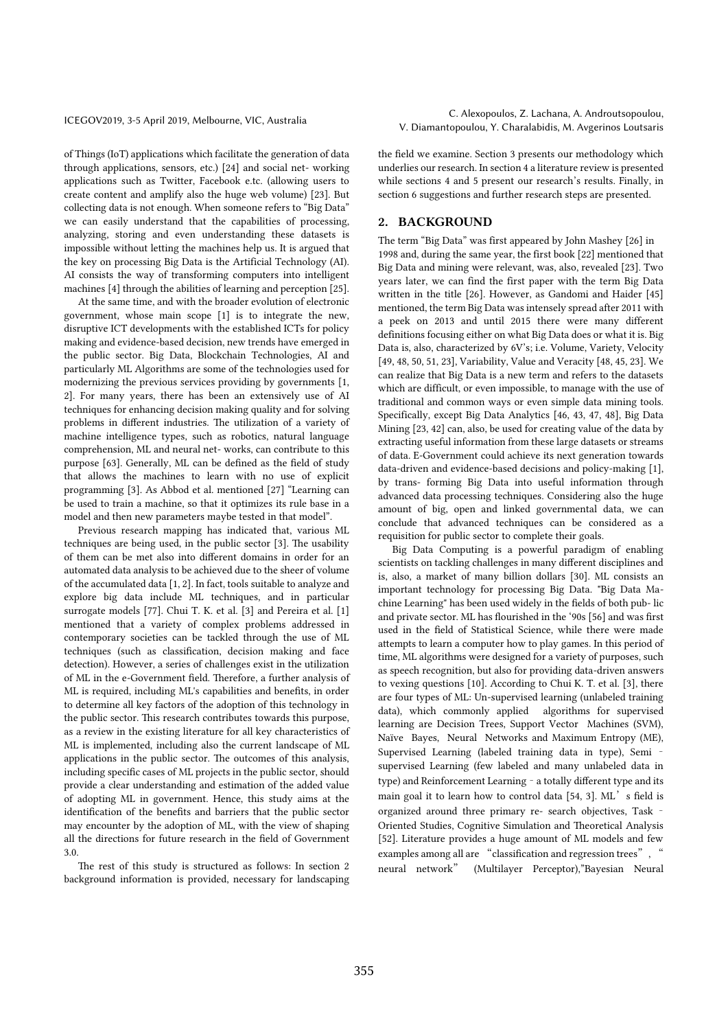of Things (IoT) applications which facilitate the generation of data through applications, sensors, etc.) [24] and social net- working applications such as Twitter, Facebook e.tc. (allowing users to create content and amplify also the huge web volume) [23]. But collecting data is not enough. When someone refers to "Big Data" we can easily understand that the capabilities of processing, analyzing, storing and even understanding these datasets is impossible without letting the machines help us. It is argued that the key on processing Big Data is the Artificial Technology (AI). AI consists the way of transforming computers into intelligent machines [4] through the abilities of learning and perception [25].

At the same time, and with the broader evolution of electronic government, whose main scope [1] is to integrate the new, disruptive ICT developments with the established ICTs for policy making and evidence-based decision, new trends have emerged in the public sector. Big Data, Blockchain Technologies, AI and particularly ML Algorithms are some of the technologies used for modernizing the previous services providing by governments [1, 2]. For many years, there has been an extensively use of AI techniques for enhancing decision making quality and for solving problems in different industries. The utilization of a variety of machine intelligence types, such as robotics, natural language comprehension, ML and neural net- works, can contribute to this purpose [63]. Generally, ML can be defined as the field of study that allows the machines to learn with no use of explicit programming [3]. As Abbod et al. mentioned [27] "Learning can be used to train a machine, so that it optimizes its rule base in a model and then new parameters maybe tested in that model".

Previous research mapping has indicated that, various ML techniques are being used, in the public sector [3]. The usability of them can be met also into different domains in order for an automated data analysis to be achieved due to the sheer of volume of the accumulated data [1, 2]. In fact, tools suitable to analyze and explore big data include ML techniques, and in particular surrogate models [77]. Chui T. K. et al. [3] and Pereira et al. [1] mentioned that a variety of complex problems addressed in contemporary societies can be tackled through the use of ML techniques (such as classification, decision making and face detection). However, a series of challenges exist in the utilization of ML in the e-Government field. Therefore, a further analysis of ML is required, including ML's capabilities and benefits, in order to determine all key factors of the adoption of this technology in the public sector. This research contributes towards this purpose, as a review in the existing literature for all key characteristics of ML is implemented, including also the current landscape of ML applications in the public sector. The outcomes of this analysis, including specific cases of ML projects in the public sector, should provide a clear understanding and estimation of the added value of adopting ML in government. Hence, this study aims at the identification of the benefits and barriers that the public sector may encounter by the adoption of ML, with the view of shaping all the directions for future research in the field of Government 3.0.

The rest of this study is structured as follows: In section 2 background information is provided, necessary for landscaping

ICEGOV2019, 3-5 April 2019, Melbourne, VIC, Australia C. Alexopoulos, Z. Lachana, A. Androutsopoulou, V. Diamantopoulou, Y. Charalabidis, M. Avgerinos Loutsaris

> the field we examine. Section 3 presents our methodology which underlies our research. In section 4 a literature review is presented while sections 4 and 5 present our research's results. Finally, in section 6 suggestions and further research steps are presented.

## 2. BACKGROUND

The term "Big Data" was first appeared by John Mashey [26] in 1998 and, during the same year, the first book [22] mentioned that Big Data and mining were relevant, was, also, revealed [23]. Two years later, we can find the first paper with the term Big Data written in the title [26]. However, as Gandomi and Haider [45] mentioned, the term Big Data was intensely spread after 2011 with a peek on 2013 and until 2015 there were many different definitions focusing either on what Big Data does or what it is. Big Data is, also, characterized by 6V's; i.e. Volume, Variety, Velocity [49, 48, 50, 51, 23], Variability, Value and Veracity [48, 45, 23]. We can realize that Big Data is a new term and refers to the datasets which are difficult, or even impossible, to manage with the use of traditional and common ways or even simple data mining tools. Specifically, except Big Data Analytics [46, 43, 47, 48], Big Data Mining [23, 42] can, also, be used for creating value of the data by extracting useful information from these large datasets or streams of data. E-Government could achieve its next generation towards data-driven and evidence-based decisions and policy-making [1], by trans- forming Big Data into useful information through advanced data processing techniques. Considering also the huge amount of big, open and linked governmental data, we can conclude that advanced techniques can be considered as a requisition for public sector to complete their goals.

Big Data Computing is a powerful paradigm of enabling scientists on tackling challenges in many different disciplines and is, also, a market of many billion dollars [30]. ML consists an important technology for processing Big Data. "Big Data Machine Learning" has been used widely in the fields of both pub- lic and private sector. ML has flourished in the '90s [56] and was first used in the field of Statistical Science, while there were made attempts to learn a computer how to play games. In this period of time, ML algorithms were designed for a variety of purposes, such as speech recognition, but also for providing data-driven answers to vexing questions [10]. According to Chui K. T. et al. [3], there are four types of ML: Un-supervised learning (unlabeled training data), which commonly applied algorithms for supervised learning are Decision Trees, Support Vector Machines (SVM), Naïve Bayes, Neural Networks and Maximum Entropy (ME), Supervised Learning (labeled training data in type), Semi – supervised Learning (few labeled and many unlabeled data in type) and Reinforcement Learning – a totally different type and its main goal it to learn how to control data [54, 3]. ML's field is organized around three primary re- search objectives, Task – Oriented Studies, Cognitive Simulation and Theoretical Analysis [52]. Literature provides a huge amount of ML models and few examples among all are "classification and regression trees", " neural network" (Multilayer Perceptor),"Bayesian Neural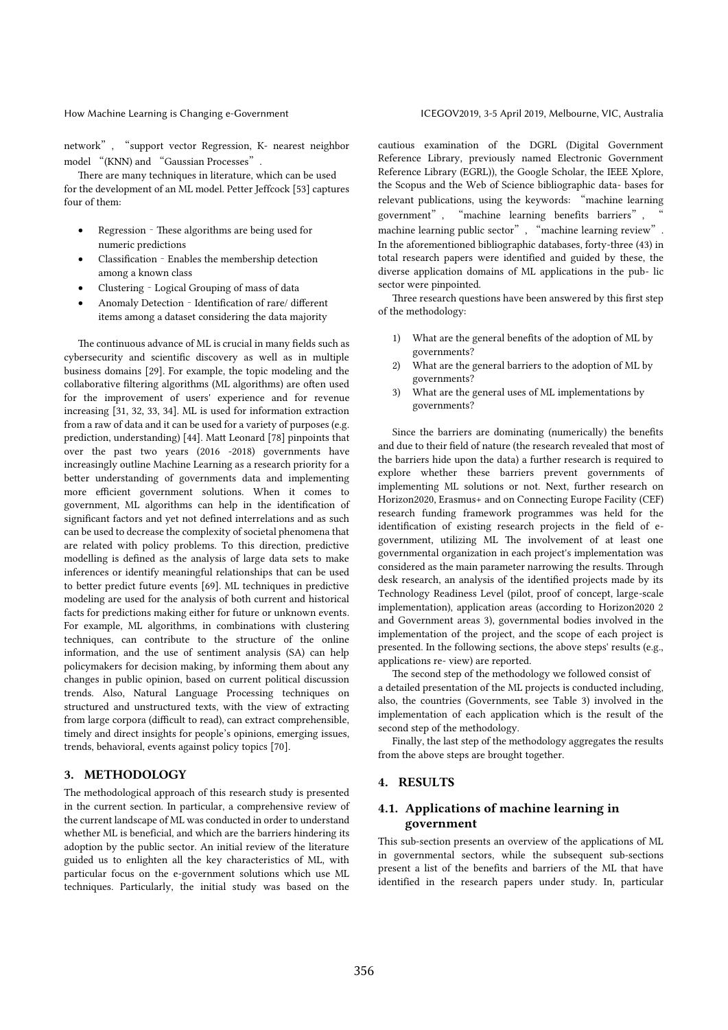network", "support vector Regression, K- nearest neighbor model "(KNN) and "Gaussian Processes".

There are many techniques in literature, which can be used for the development of an ML model. Petter Jeffcock [53] captures four of them:

- Regression These algorithms are being used for numeric predictions
- Classification Enables the membership detection among a known class
- Clustering Logical Grouping of mass of data
- Anomaly Detection Identification of rare/ different items among a dataset considering the data majority

The continuous advance of ML is crucial in many fields such as cybersecurity and scientific discovery as well as in multiple business domains [29]. For example, the topic modeling and the collaborative filtering algorithms (ML algorithms) are often used for the improvement of users' experience and for revenue increasing [31, 32, 33, 34]. ML is used for information extraction from a raw of data and it can be used for a variety of purposes (e.g. prediction, understanding) [44]. Matt Leonard [78] pinpoints that over the past two years (2016 -2018) governments have increasingly outline Machine Learning as a research priority for a better understanding of governments data and implementing more efficient government solutions. When it comes to government, ML algorithms can help in the identification of significant factors and yet not defined interrelations and as such can be used to decrease the complexity of societal phenomena that are related with policy problems. To this direction, predictive modelling is defined as the analysis of large data sets to make inferences or identify meaningful relationships that can be used to better predict future events [69]. ML techniques in predictive modeling are used for the analysis of both current and historical facts for predictions making either for future or unknown events. For example, ML algorithms, in combinations with clustering techniques, can contribute to the structure of the online information, and the use of sentiment analysis (SA) can help policymakers for decision making, by informing them about any changes in public opinion, based on current political discussion trends. Also, Natural Language Processing techniques on structured and unstructured texts, with the view of extracting from large corpora (difficult to read), can extract comprehensible, timely and direct insights for people's opinions, emerging issues, trends, behavioral, events against policy topics [70].

## 3. METHODOLOGY

The methodological approach of this research study is presented in the current section. In particular, a comprehensive review of the current landscape of ML was conducted in order to understand whether ML is beneficial, and which are the barriers hindering its adoption by the public sector. An initial review of the literature guided us to enlighten all the key characteristics of ML, with particular focus on the e-government solutions which use ML techniques. Particularly, the initial study was based on the

cautious examination of the DGRL (Digital Government Reference Library, previously named Electronic Government Reference Library (EGRL)), the Google Scholar, the IEEE Xplore, the Scopus and the Web of Science bibliographic data- bases for relevant publications, using the keywords: "machine learning government", "machine learning benefits barriers", machine learning public sector", "machine learning review". In the aforementioned bibliographic databases, forty-three (43) in total research papers were identified and guided by these, the diverse application domains of ML applications in the pub- lic sector were pinpointed.

Three research questions have been answered by this first step of the methodology:

- 1) What are the general benefits of the adoption of ML by governments?
- 2) What are the general barriers to the adoption of ML by governments?
- 3) What are the general uses of ML implementations by governments?

Since the barriers are dominating (numerically) the benefits and due to their field of nature (the research revealed that most of the barriers hide upon the data) a further research is required to explore whether these barriers prevent governments of implementing ML solutions or not. Next, further research on Horizon2020, Erasmus+ and on Connecting Europe Facility (CEF) research funding framework programmes was held for the identification of existing research projects in the field of egovernment, utilizing ML The involvement of at least one governmental organization in each project's implementation was considered as the main parameter narrowing the results. Through desk research, an analysis of the identified projects made by its Technology Readiness Level (pilot, proof of concept, large-scale implementation), application areas (according to Horizon2020 2 and Government areas 3), governmental bodies involved in the implementation of the project, and the scope of each project is presented. In the following sections, the above steps' results (e.g., applications re- view) are reported.

The second step of the methodology we followed consist of a detailed presentation of the ML projects is conducted including, also, the countries (Governments, see Table 3) involved in the implementation of each application which is the result of the second step of the methodology.

Finally, the last step of the methodology aggregates the results from the above steps are brought together.

## 4. RESULTS

## 4.1. Applications of machine learning in government

This sub-section presents an overview of the applications of ML in governmental sectors, while the subsequent sub-sections present a list of the benefits and barriers of the ML that have identified in the research papers under study. In, particular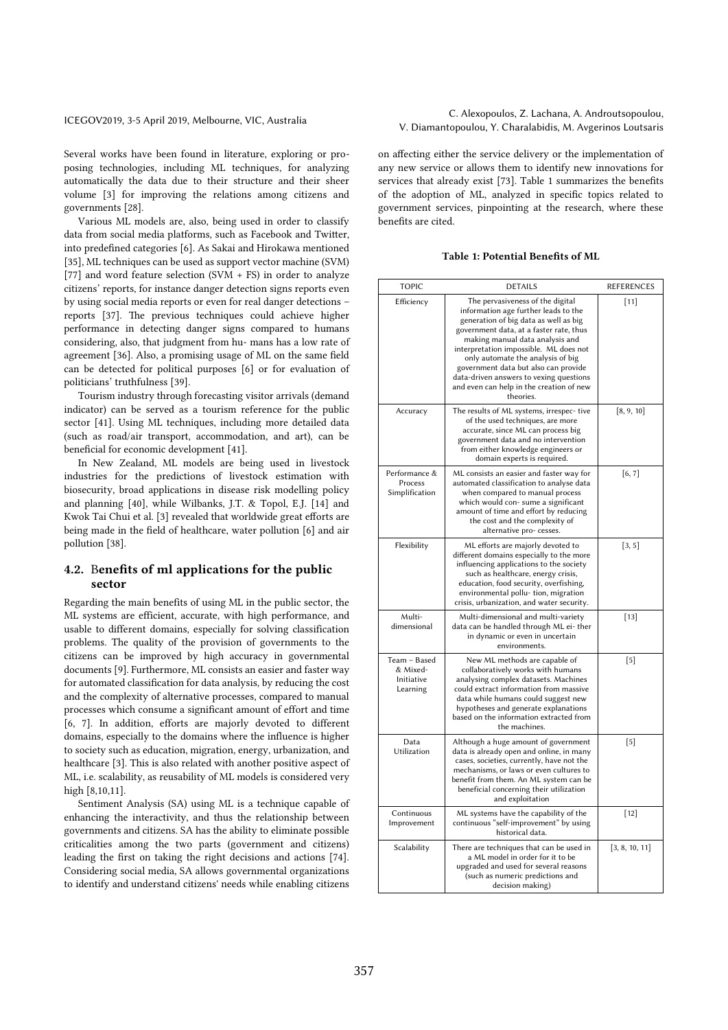Several works have been found in literature, exploring or proposing technologies, including ML techniques, for analyzing automatically the data due to their structure and their sheer volume [3] for improving the relations among citizens and governments [28].

Various ML models are, also, being used in order to classify data from social media platforms, such as Facebook and Twitter, into predefined categories [6]. As Sakai and Hirokawa mentioned [35], ML techniques can be used as support vector machine (SVM) [77] and word feature selection (SVM + FS) in order to analyze citizens' reports, for instance danger detection signs reports even by using social media reports or even for real danger detections – reports [37]. The previous techniques could achieve higher performance in detecting danger signs compared to humans considering, also, that judgment from hu- mans has a low rate of agreement [36]. Also, a promising usage of ML on the same field can be detected for political purposes [6] or for evaluation of politicians' truthfulness [39].

Tourism industry through forecasting visitor arrivals (demand indicator) can be served as a tourism reference for the public sector [41]. Using ML techniques, including more detailed data (such as road/air transport, accommodation, and art), can be beneficial for economic development [41].

In New Zealand, ML models are being used in livestock industries for the predictions of livestock estimation with biosecurity, broad applications in disease risk modelling policy and planning [40], while Wilbanks, J.T. & Topol, E.J. [14] and Kwok Tai Chui et al. [3] revealed that worldwide great efforts are being made in the field of healthcare, water pollution [6] and air pollution [38].

## 4.2. Benefits of ml applications for the public sector

Regarding the main benefits of using ML in the public sector, the ML systems are efficient, accurate, with high performance, and usable to different domains, especially for solving classification problems. The quality of the provision of governments to the citizens can be improved by high accuracy in governmental documents [9]. Furthermore, ML consists an easier and faster way for automated classification for data analysis, by reducing the cost and the complexity of alternative processes, compared to manual processes which consume a significant amount of effort and time [6, 7]. In addition, efforts are majorly devoted to different domains, especially to the domains where the influence is higher to society such as education, migration, energy, urbanization, and healthcare [3]. This is also related with another positive aspect of ML, i.e. scalability, as reusability of ML models is considered very high [8,10,11].

Sentiment Analysis (SA) using ML is a technique capable of enhancing the interactivity, and thus the relationship between governments and citizens. SA has the ability to eliminate possible criticalities among the two parts (government and citizens) leading the first on taking the right decisions and actions [74]. Considering social media, SA allows governmental organizations to identify and understand citizens' needs while enabling citizens

## ICEGOV2019, 3-5 April 2019, Melbourne, VIC, Australia C. Alexopoulos, Z. Lachana, A. Androutsopoulou, V. Diamantopoulou, Y. Charalabidis, M. Avgerinos Loutsaris

on affecting either the service delivery or the implementation of any new service or allows them to identify new innovations for services that already exist [73]. Table 1 summarizes the benefits of the adoption of ML, analyzed in specific topics related to government services, pinpointing at the research, where these benefits are cited.

## Table 1: Potential Benefits of ML

| <b>TOPIC</b>                                       | <b>DETAILS</b>                                                                                                                                                                                                                                                                                                                                                                                                             | REFERENCES     |
|----------------------------------------------------|----------------------------------------------------------------------------------------------------------------------------------------------------------------------------------------------------------------------------------------------------------------------------------------------------------------------------------------------------------------------------------------------------------------------------|----------------|
| Efficiency                                         | The pervasiveness of the digital<br>information age further leads to the<br>generation of big data as well as big<br>government data, at a faster rate, thus<br>making manual data analysis and<br>interpretation impossible. ML does not<br>only automate the analysis of big<br>government data but also can provide<br>data-driven answers to vexing questions<br>and even can help in the creation of new<br>theories. | $[11]$         |
| Accuracy                                           | The results of ML systems, irrespec-tive<br>of the used techniques, are more<br>accurate, since ML can process big<br>government data and no intervention<br>from either knowledge engineers or<br>domain experts is required.                                                                                                                                                                                             | [8, 9, 10]     |
| Performance &<br>Process<br>Simplification         | ML consists an easier and faster way for<br>automated classification to analyse data<br>when compared to manual process<br>which would con-sume a significant<br>amount of time and effort by reducing<br>the cost and the complexity of<br>alternative pro- cesses.                                                                                                                                                       | [6, 7]         |
| Flexibility                                        | ML efforts are majorly devoted to<br>different domains especially to the more<br>influencing applications to the society<br>such as healthcare, energy crisis,<br>education, food security, overfishing,<br>environmental pollu-tion, migration<br>crisis, urbanization, and water security.                                                                                                                               | [3, 5]         |
| Multi-<br>dimensional                              | Multi-dimensional and multi-variety<br>data can be handled through ML ei- ther<br>in dynamic or even in uncertain<br>environments.                                                                                                                                                                                                                                                                                         | $[13]$         |
| Team - Based<br>& Mixed-<br>Initiative<br>Learning | New ML methods are capable of<br>collaboratively works with humans<br>analysing complex datasets. Machines<br>could extract information from massive<br>data while humans could suggest new<br>hypotheses and generate explanations<br>based on the information extracted from<br>the machines.                                                                                                                            | $[5]$          |
| Data<br>Utilization                                | Although a huge amount of government<br>data is already open and online, in many<br>cases, societies, currently, have not the<br>mechanisms, or laws or even cultures to<br>benefit from them. An ML system can be<br>beneficial concerning their utilization<br>and exploitation                                                                                                                                          | $[5]$          |
| Continuous<br>Improvement                          | ML systems have the capability of the<br>continuous "self-improvement" by using<br>historical data.                                                                                                                                                                                                                                                                                                                        | $[12]$         |
| Scalability                                        | There are techniques that can be used in<br>a ML model in order for it to be<br>upgraded and used for several reasons<br>(such as numeric predictions and<br>decision making)                                                                                                                                                                                                                                              | [3, 8, 10, 11] |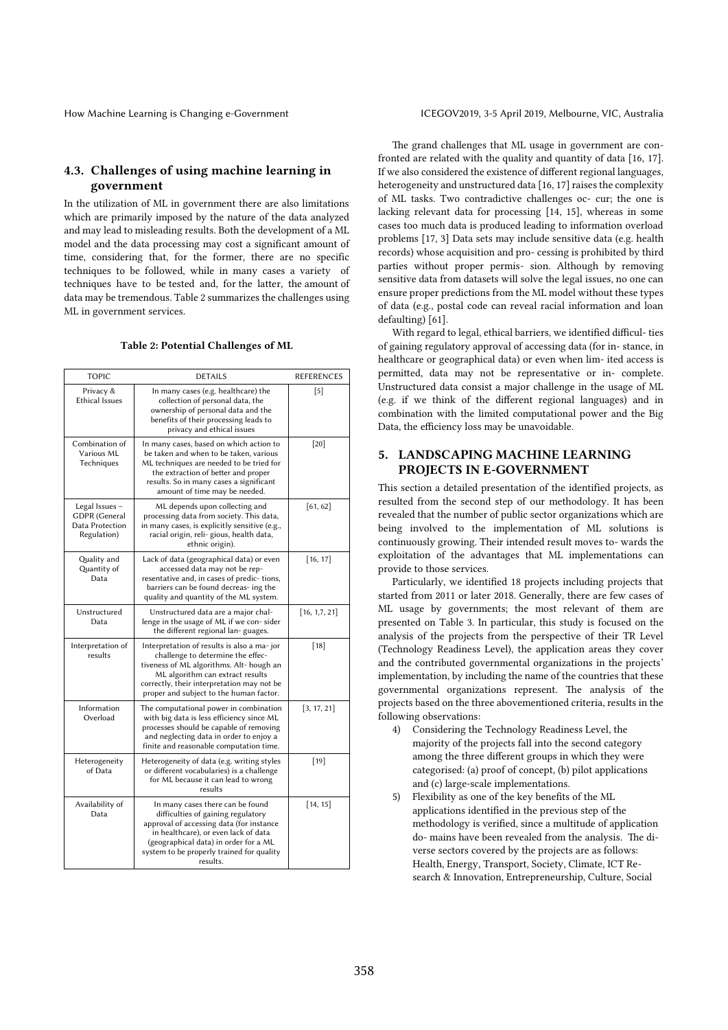## 4.3. Challenges of using machine learning in government

In the utilization of ML in government there are also limitations which are primarily imposed by the nature of the data analyzed and may lead to misleading results. Both the development of a ML model and the data processing may cost a significant amount of time, considering that, for the former, there are no specific techniques to be followed, while in many cases a variety of techniques have to be tested and, for the latter, the amount of data may be tremendous. Table 2 summarizes the challenges using ML in government services.

| <b>TOPIC</b>                                                             | <b>DETAILS</b>                                                                                                                                                                                                                                               | <b>REFERENCES</b> |
|--------------------------------------------------------------------------|--------------------------------------------------------------------------------------------------------------------------------------------------------------------------------------------------------------------------------------------------------------|-------------------|
| Privacy &<br><b>Ethical Issues</b>                                       | In many cases (e.g. healthcare) the<br>collection of personal data, the<br>ownership of personal data and the<br>benefits of their processing leads to<br>privacy and ethical issues                                                                         | $\lceil 5 \rceil$ |
| Combination of<br>Various ML<br>Techniques                               | In many cases, based on which action to<br>be taken and when to be taken, various<br>ML techniques are needed to be tried for<br>the extraction of better and proper<br>results. So in many cases a significant<br>amount of time may be needed.             | $[20]$            |
| Legal Issues -<br><b>GDPR</b> (General<br>Data Protection<br>Regulation) | ML depends upon collecting and<br>processing data from society. This data,<br>in many cases, is explicitly sensitive (e.g.,<br>racial origin, reli-gious, health data,<br>ethnic origin).                                                                    | [61, 62]          |
| Quality and<br>Quantity of<br>Data                                       | Lack of data (geographical data) or even<br>accessed data may not be rep-<br>resentative and, in cases of predic-tions,<br>barriers can be found decreas- ing the<br>quality and quantity of the ML system.                                                  | [16, 17]          |
| Unstructured<br>Data                                                     | Unstructured data are a major chal-<br>lenge in the usage of ML if we con-sider<br>the different regional lan-guages.                                                                                                                                        | [16, 1, 7, 21]    |
| Interpretation of<br>results                                             | Interpretation of results is also a ma-jor<br>challenge to determine the effec-<br>tiveness of ML algorithms. Alt-hough an<br>ML algorithm can extract results<br>correctly, their interpretation may not be<br>proper and subject to the human factor.      | $[18]$            |
| Information<br>Overload                                                  | The computational power in combination<br>with big data is less efficiency since ML<br>processes should be capable of removing<br>and neglecting data in order to enjoy a<br>finite and reasonable computation time.                                         | [3, 17, 21]       |
| Heterogeneity<br>of Data                                                 | Heterogeneity of data (e.g. writing styles<br>or different vocabularies) is a challenge<br>for ML because it can lead to wrong<br>results                                                                                                                    | $[19]$            |
| Availability of<br>Data                                                  | In many cases there can be found<br>difficulties of gaining regulatory<br>approval of accessing data (for instance<br>in healthcare), or even lack of data<br>(geographical data) in order for a ML<br>system to be properly trained for quality<br>results. | [14, 15]          |

## Table 2: Potential Challenges of ML

The grand challenges that ML usage in government are confronted are related with the quality and quantity of data [16, 17]. If we also considered the existence of different regional languages, heterogeneity and unstructured data [16, 17] raises the complexity of ML tasks. Two contradictive challenges oc- cur; the one is lacking relevant data for processing [14, 15], whereas in some cases too much data is produced leading to information overload problems [17, 3] Data sets may include sensitive data (e.g. health records) whose acquisition and pro- cessing is prohibited by third parties without proper permis- sion. Although by removing sensitive data from datasets will solve the legal issues, no one can ensure proper predictions from the ML model without these types of data (e.g., postal code can reveal racial information and loan defaulting) [61].

With regard to legal, ethical barriers, we identified difficul- ties of gaining regulatory approval of accessing data (for in- stance, in healthcare or geographical data) or even when lim- ited access is permitted, data may not be representative or in- complete. Unstructured data consist a major challenge in the usage of ML (e.g. if we think of the different regional languages) and in combination with the limited computational power and the Big Data, the efficiency loss may be unavoidable.

## 5. LANDSCAPING MACHINE LEARNING PROJECTS IN E-GOVERNMENT

This section a detailed presentation of the identified projects, as resulted from the second step of our methodology. It has been revealed that the number of public sector organizations which are being involved to the implementation of ML solutions is continuously growing. Their intended result moves to- wards the exploitation of the advantages that ML implementations can provide to those services.

Particularly, we identified 18 projects including projects that started from 2011 or later 2018. Generally, there are few cases of ML usage by governments; the most relevant of them are presented on Table 3. In particular, this study is focused on the analysis of the projects from the perspective of their TR Level (Technology Readiness Level), the application areas they cover and the contributed governmental organizations in the projects' implementation, by including the name of the countries that these governmental organizations represent. The analysis of the projects based on the three abovementioned criteria, results in the following observations:

- 4) Considering the Technology Readiness Level, the majority of the projects fall into the second category among the three different groups in which they were categorised: (a) proof of concept, (b) pilot applications and (c) large-scale implementations.
- 5) Flexibility as one of the key benefits of the ML applications identified in the previous step of the methodology is verified, since a multitude of application do- mains have been revealed from the analysis. The diverse sectors covered by the projects are as follows: Health, Energy, Transport, Society, Climate, ICT Research & Innovation, Entrepreneurship, Culture, Social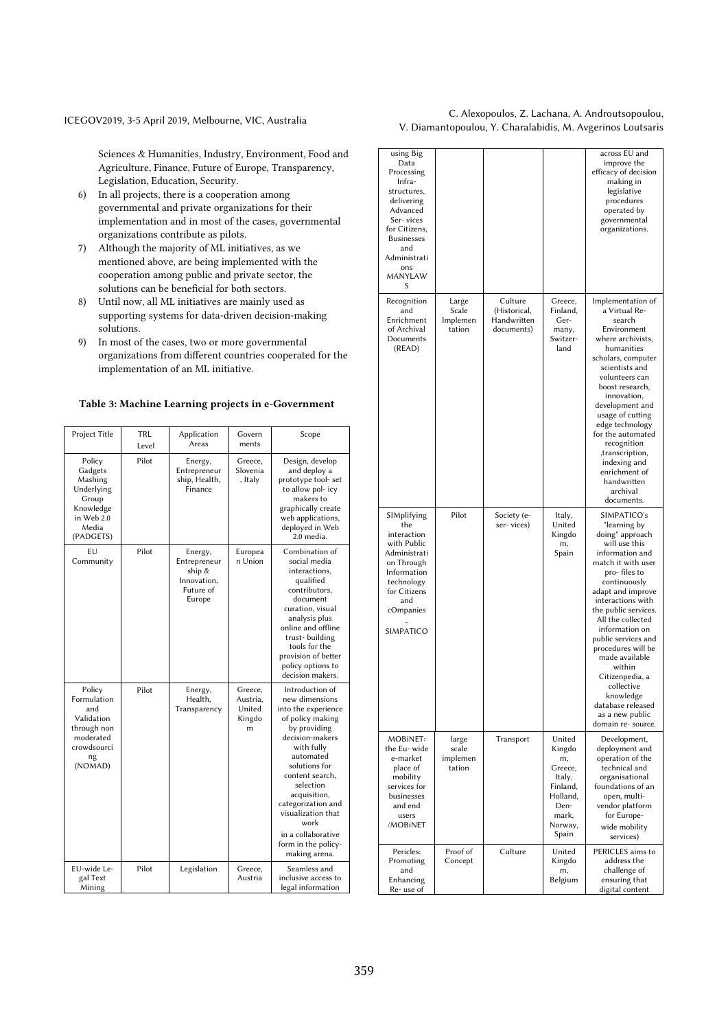## ICEGOV2019, 3-5 April 2019, Melbourne, VIC, Australia C. Alexopoulos, Z. Lachana, A. Androutsopoulou, V. Diamantopoulou, Y. Charalabidis, M. Avgerinos Loutsaris

Sciences & Humanities, Industry, Environment, Food and Agriculture, Finance, Future of Europe, Transparency, Legislation, Education, Security.

- 6) In all projects, there is a cooperation among governmental and private organizations for their implementation and in most of the cases, governmental organizations contribute as pilots.
- 7) Although the majority of ML initiatives, as we mentioned above, are being implemented with the cooperation among public and private sector, the solutions can be beneficial for both sectors.
- 8) Until now, all ML initiatives are mainly used as supporting systems for data-driven decision-making solutions.
- 9) In most of the cases, two or more governmental organizations from different countries cooperated for the implementation of an ML initiative.

## Table 3: Machine Learning projects in e-Government

| Project Title                                                                                          | TRL<br>Level | Application<br>Areas                                                    | Govern<br>ments                              | Scope                                                                                                                                                                                                                                                                                                                         |
|--------------------------------------------------------------------------------------------------------|--------------|-------------------------------------------------------------------------|----------------------------------------------|-------------------------------------------------------------------------------------------------------------------------------------------------------------------------------------------------------------------------------------------------------------------------------------------------------------------------------|
| Policy<br>Gadgets<br>Mashing<br>Underlying<br>Group<br>Knowledge<br>in Web 2.0<br>Media<br>(PADGETS)   | Pilot        | Energy,<br>Entrepreneur<br>ship, Health,<br>Finance                     | Greece,<br>Slovenia<br>, Italy               | Design, develop<br>and deploy a<br>prototype tool- set<br>to allow pol-icy<br>makers to<br>graphically create<br>web applications,<br>deployed in Web<br>2.0 media.                                                                                                                                                           |
| EU<br>Community                                                                                        | Pilot        | Energy,<br>Entrepreneur<br>ship &<br>Innovation,<br>Future of<br>Europe | Europea<br>n Union                           | Combination of<br>social media<br>interactions,<br>qualified<br>contributors,<br>document<br>curation, visual<br>analysis plus<br>online and offline<br>trust- building<br>tools for the<br>provision of better<br>policy options to<br>decision makers.                                                                      |
| Policy<br>Formulation<br>and<br>Validation<br>through non<br>moderated<br>crowdsourci<br>ng<br>(NOMAD) | Pilot        | Energy,<br>Health,<br>Transparency                                      | Greece,<br>Austria.<br>United<br>Kingdo<br>m | Introduction of<br>new dimensions<br>into the experience<br>of policy making<br>by providing<br>decision-makers<br>with fully<br>automated<br>solutions for<br>content search,<br>selection<br>acquisition,<br>categorization and<br>visualization that<br>work<br>in a collaborative<br>form in the policy-<br>making arena. |
| EU-wide Le-<br>gal Text<br>Mining                                                                      | Pilot        | Legislation                                                             | Greece,<br>Austria                           | Seamless and<br>inclusive access to<br>legal information                                                                                                                                                                                                                                                                      |

| using Big<br>Data<br>Processing<br>Infra-<br>structures,<br>delivering<br>Advanced<br>Ser-vices<br>for Citizens,<br><b>Businesses</b><br>and<br>Administrati<br>ons<br><b>MANYLAW</b><br>S |                                      |                                                      |                                                                                                          | across EU and<br>improve the<br>efficacy of decision<br>making in<br>legislative<br>procedures<br>operated by<br>governmental<br>organizations.                                                                                                                                                                                                                                                                                        |
|--------------------------------------------------------------------------------------------------------------------------------------------------------------------------------------------|--------------------------------------|------------------------------------------------------|----------------------------------------------------------------------------------------------------------|----------------------------------------------------------------------------------------------------------------------------------------------------------------------------------------------------------------------------------------------------------------------------------------------------------------------------------------------------------------------------------------------------------------------------------------|
| Recognition<br>and<br>Enrichment<br>of Archival<br>Documents<br>(READ)                                                                                                                     | Large<br>Scale<br>Implemen<br>tation | Culture<br>(Historical,<br>Handwritten<br>documents) | Greece,<br>Finland,<br>Ger-<br>many,<br>Switzer-<br>land                                                 | Implementation of<br>a Virtual Re-<br>search<br>Environment<br>where archivists.<br>humanities<br>scholars, computer<br>scientists and<br>volunteers can<br>boost research.<br>innovation,<br>development and<br>usage of cutting<br>edge technology<br>for the automated<br>recognition<br>,transcription,<br>indexing and<br>enrichment of<br>handwritten<br>archival<br>documents.                                                  |
| SIMplifying<br>the<br>interaction<br>with Public<br>Administrati<br>on Through<br>Information<br>technology<br>for Citizens<br>and<br>cOmpanies<br>SIMPATICO                               | Pilot                                | Society (e-<br>ser-vices)                            | Italy,<br>United<br>Kingdo<br>m,<br>Spain                                                                | SIMPATICO's<br>"learning by<br>doing" approach<br>will use this<br>information and<br>match it with user<br>pro- files to<br>continuously<br>adapt and improve<br>interactions with<br>the public services.<br>All the collected<br>information on<br>public services and<br>procedures will be<br>made available<br>within<br>Citizenpedia, a<br>collective<br>knowledge<br>database released<br>as a new public<br>domain re-source. |
| MOBINET:<br>the Eu-wide<br>e-market<br>place of<br>mobility<br>services for<br>businesses<br>and end<br>users<br>/MOBINET                                                                  | large<br>scale<br>implemen<br>tation | Transport                                            | United<br>Kingdo<br>m,<br>Greece,<br>Italy,<br>Finland,<br>Holland,<br>Den-<br>mark.<br>Norway,<br>Spain | Development,<br>deployment and<br>operation of the<br>technical and<br>organisational<br>foundations of an<br>open, multi-<br>vendor platform<br>for Europe-<br>wide mobility<br>services)                                                                                                                                                                                                                                             |
| Pericles:<br>Promoting<br>and<br>Enhancing<br>Re- use of                                                                                                                                   | Proof of<br>Concept                  | Culture                                              | United<br>Kingdo<br>m,<br>Belgium                                                                        | PERICLES aims to<br>address the<br>challenge of<br>ensuring that<br>digital content                                                                                                                                                                                                                                                                                                                                                    |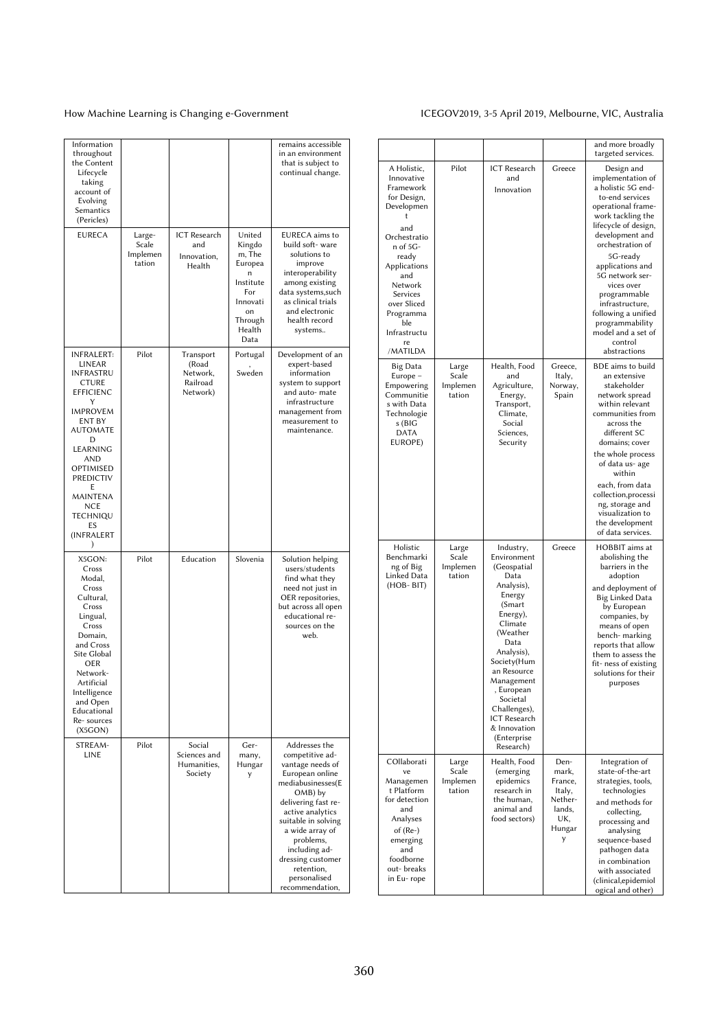## How Machine Learning is Changing e-Government ICEGOV2019, 3-5 April 2019, Melbourne, VIC, Australia

| Information<br>throughout<br>the Content<br>Lifecycle<br>taking<br>account of<br>Evolving<br>Semantics<br>(Pericles)                                                                                                                                           |                                       |                                                        |                                                                                                               | remains accessible<br>in an environment<br>that is subject to<br>continual change.                                                                                                                                                                                                               |
|----------------------------------------------------------------------------------------------------------------------------------------------------------------------------------------------------------------------------------------------------------------|---------------------------------------|--------------------------------------------------------|---------------------------------------------------------------------------------------------------------------|--------------------------------------------------------------------------------------------------------------------------------------------------------------------------------------------------------------------------------------------------------------------------------------------------|
| <b>EURECA</b>                                                                                                                                                                                                                                                  | Large-<br>Scale<br>Implemen<br>tation | ICT Research<br>and<br>Innovation,<br>Health           | United<br>Kingdo<br>m, The<br>Europea<br>n<br>Institute<br>For<br>Innovati<br>on<br>Through<br>Health<br>Data | <b>EURECA</b> aims to<br>build soft-ware<br>solutions to<br>improve<br>interoperability<br>among existing<br>data systems, such<br>as clinical trials<br>and electronic<br>health record<br>systems                                                                                              |
| <b>INFRALERT:</b><br>LINEAR<br>INFRASTRU<br><b>CTURE</b><br><b>EFFICIENC</b><br>Y<br><b>IMPROVEM</b><br>ENT BY<br><b>AUTOMATE</b><br>D<br>LEARNING<br><b>AND</b><br>OPTIMISED<br><b>PREDICTIV</b><br>Ε<br>MAINTENA<br>NCE<br>TECHNIQU<br>ES<br>(INFRALERT<br>) | Pilot                                 | Transport<br>(Road<br>Network,<br>Railroad<br>Network) | Portugal<br>Sweden                                                                                            | Development of an<br>expert-based<br>information<br>system to support<br>and auto- mate<br>infrastructure<br>management from<br>measurement to<br>maintenance.                                                                                                                                   |
| X5GON:<br>Cross<br>Modal,<br>Cross<br>Cultural,<br>Cross<br>Lingual,<br>Cross<br>Domain,<br>and Cross<br>Site Global<br>OER<br>Network-<br>Artificial<br>Intelligence<br>and Open<br>Educational<br>Re-sources<br>(X5GON)                                      | Pilot                                 | Education                                              | Slovenia                                                                                                      | Solution helping<br>users/students<br>find what they<br>need not just in<br>OER repositories,<br>but across all open<br>educational re-<br>sources on the<br>web.                                                                                                                                |
| STREAM-<br>LINE                                                                                                                                                                                                                                                | Pilot                                 | Social<br>Sciences and<br>Humanities,<br>Society       | Ger-<br>many,<br>Hungar<br>y                                                                                  | Addresses the<br>competitive ad-<br>vantage needs of<br>European online<br>mediabusinesses(E<br>OMB) by<br>delivering fast re-<br>active analytics<br>suitable in solving<br>a wide array of<br>problems,<br>including ad-<br>dressing customer<br>retention,<br>personalised<br>recommendation, |

|                                                                                                                                                                                                                                         |                                      |                                                                                                                                                                                                                                                                                              |                                                                               | and more broadly<br>targeted services.                                                                                                                                                                                                                                                                                                                                            |
|-----------------------------------------------------------------------------------------------------------------------------------------------------------------------------------------------------------------------------------------|--------------------------------------|----------------------------------------------------------------------------------------------------------------------------------------------------------------------------------------------------------------------------------------------------------------------------------------------|-------------------------------------------------------------------------------|-----------------------------------------------------------------------------------------------------------------------------------------------------------------------------------------------------------------------------------------------------------------------------------------------------------------------------------------------------------------------------------|
| A Holistic,<br>Innovative<br>Framework<br>for Design,<br>Developmen<br>t<br>and<br>Orchestratio<br>n of 5G-<br>ready<br>Applications<br>and<br>Network<br>Services<br>over Sliced<br>Programma<br>ble<br>Infrastructu<br>re<br>/MATILDA | Pilot                                | <b>ICT</b> Research<br>and<br>Innovation                                                                                                                                                                                                                                                     | Greece                                                                        | Design and<br>implementation of<br>a holistic 5G end-<br>to-end services<br>operational frame-<br>work tackling the<br>lifecycle of design,<br>development and<br>orchestration of<br>5G-ready<br>applications and<br>5G network ser-<br>vices over<br>programmable<br>infrastructure,<br>following a unified<br>programmability<br>model and a set of<br>control<br>abstractions |
| Big Data<br>Europe -<br>Empowering<br>Communitie<br>s with Data<br>Technologie<br>s (BIG<br><b>DATA</b><br>EUROPE)                                                                                                                      | Large<br>Scale<br>Implemen<br>tation | Health, Food<br>and<br>Agriculture,<br>Energy,<br>Transport,<br>Climate,<br>Social<br>Sciences,<br>Security                                                                                                                                                                                  | Greece,<br>ltaly,<br>Norway,<br>Spain                                         | BDE aims to build<br>an extensive<br>stakeholder<br>network spread<br>within relevant<br>communities from<br>across the<br>different SC<br>domains; cover<br>the whole process<br>of data us- age<br>within<br>each, from data<br>collection, processi<br>ng, storage and<br>visualization to<br>the development<br>of data services.                                             |
| Holistic<br>Benchmarki<br>ng of Big<br>Linked Data<br>$(HOB-BIT)$                                                                                                                                                                       | Large<br>Scale<br>Implemen<br>tation | Industry,<br>Environment<br>(Geospatial<br>Data<br>Analysis),<br>Energy<br>(Smart<br>Energy),<br>Climate<br>(Weather<br>Data<br>Analysis),<br>Society(Hum<br>an Resource<br>Management<br>, European<br>Societal<br>Challenges),<br>ICT Research<br>& Innovation<br>(Enterprise<br>Research) | Greece                                                                        | HOBBIT aims at<br>abolishing the<br>barriers in the<br>adoption<br>and deployment of<br>Big Linked Data<br>by European<br>companies, by<br>means of open<br>bench- marking<br>reports that allow<br>them to assess the<br>fit- ness of existing<br>solutions for their<br>purposes                                                                                                |
| COllaborati<br>ve<br>Managemen<br>t Platform<br>for detection<br>and<br>Analyses<br>of (Re-)<br>emerging<br>and<br>foodborne<br>out-breaks<br>in Eu-rope                                                                                | Large<br>Scale<br>Implemen<br>tation | Health, Food<br>(emerging<br>epidemics<br>research in<br>the human,<br>animal and<br>food sectors)                                                                                                                                                                                           | Den-<br>mark,<br>France,<br>Italy,<br>Nether-<br>lands.<br>UK,<br>Hungar<br>y | Integration of<br>state-of-the-art<br>strategies, tools,<br>technologies<br>and methods for<br>collecting,<br>processing and<br>analysing<br>sequence-based<br>pathogen data<br>in combination<br>with associated<br>(clinical,epidemiol<br>ogical and other)                                                                                                                     |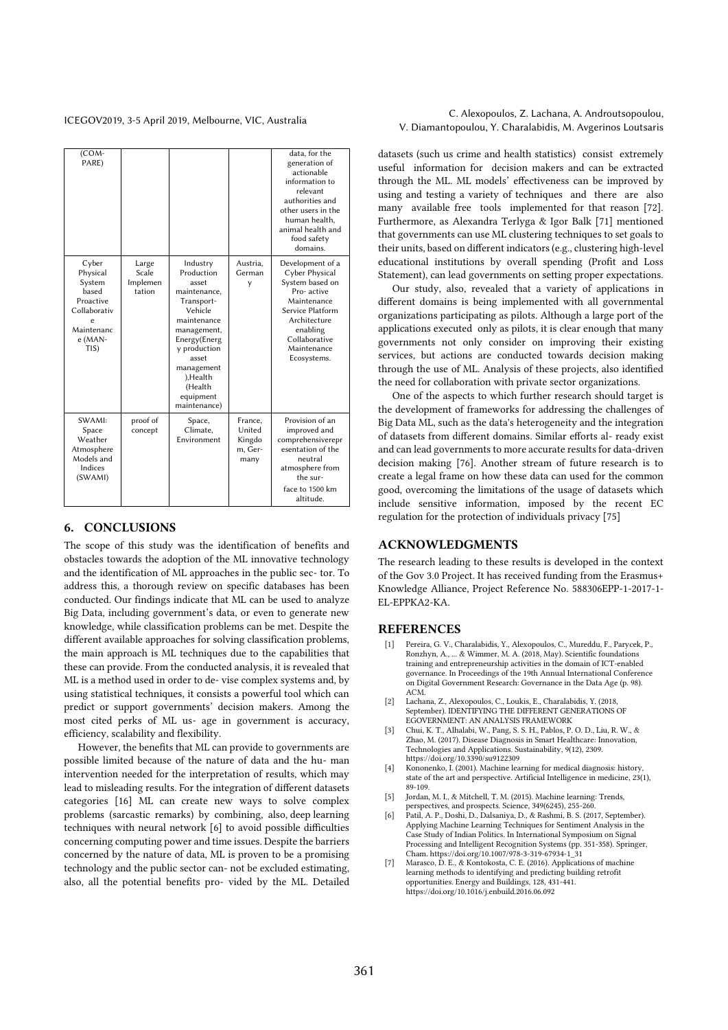| (COM-<br>PARE)                                                                                          |                                      |                                                                                                                                                                                                                    |                                                | data, for the<br>generation of<br>actionable<br>information to<br>relevant<br>authorities and<br>other users in the<br>human health,<br>animal health and<br>food safety<br>domains. |
|---------------------------------------------------------------------------------------------------------|--------------------------------------|--------------------------------------------------------------------------------------------------------------------------------------------------------------------------------------------------------------------|------------------------------------------------|--------------------------------------------------------------------------------------------------------------------------------------------------------------------------------------|
| Cyber<br>Physical<br>System<br>based<br>Proactive<br>Collaborativ<br>e<br>Maintenanc<br>e (MAN-<br>TIS) | Large<br>Scale<br>Implemen<br>tation | Industry<br>Production<br>asset<br>maintenance.<br>Transport-<br>Vehicle<br>maintenance<br>management,<br>Energy(Energ<br>v production<br>asset<br>management<br>), Health<br>(Health<br>equipment<br>maintenance) | Austria,<br>German<br>y                        | Development of a<br>Cyber Physical<br>System based on<br>Pro-active<br>Maintenance<br>Service Platform<br>Architecture<br>enabling<br>Collaborative<br>Maintenance<br>Ecosystems.    |
| SWAMI:<br>Space<br>Weather<br>Atmosphere<br>Models and<br>Indices<br>(SWAMI)                            | proof of<br>concept                  | Space,<br>Climate,<br>Environment                                                                                                                                                                                  | France,<br>United<br>Kingdo<br>m, Ger-<br>many | Provision of an<br>improved and<br>comprehensiverepr<br>esentation of the<br>neutral<br>atmosphere from<br>the sur-<br>face to 1500 km<br>altitude.                                  |

## 6. CONCLUSIONS

The scope of this study was the identification of benefits and obstacles towards the adoption of the ML innovative technology and the identification of ML approaches in the public sec- tor. To address this, a thorough review on specific databases has been conducted. Our findings indicate that ML can be used to analyze Big Data, including government's data, or even to generate new knowledge, while classification problems can be met. Despite the different available approaches for solving classification problems, the main approach is ML techniques due to the capabilities that these can provide. From the conducted analysis, it is revealed that ML is a method used in order to de- vise complex systems and, by using statistical techniques, it consists a powerful tool which can predict or support governments' decision makers. Among the most cited perks of ML us- age in government is accuracy, efficiency, scalability and flexibility.

However, the benefits that ML can provide to governments are possible limited because of the nature of data and the hu- man intervention needed for the interpretation of results, which may lead to misleading results. For the integration of different datasets categories [16] ML can create new ways to solve complex problems (sarcastic remarks) by combining, also, deep learning techniques with neural network [6] to avoid possible difficulties concerning computing power and time issues. Despite the barriers concerned by the nature of data, ML is proven to be a promising technology and the public sector can- not be excluded estimating, also, all the potential benefits pro- vided by the ML. Detailed

## ICEGOV2019, 3-5 April 2019, Melbourne, VIC, Australia C. Alexopoulos, Z. Lachana, A. Androutsopoulou, V. Diamantopoulou, Y. Charalabidis, M. Avgerinos Loutsaris

datasets (such us crime and health statistics) consist extremely useful information for decision makers and can be extracted through the ML. ML models' effectiveness can be improved by using and testing a variety of techniques and there are also many available free tools implemented for that reason [72]. Furthermore, as Alexandra Terlyga & Igor Balk [71] mentioned that governments can use ML clustering techniques to set goals to their units, based on different indicators (e.g., clustering high-level educational institutions by overall spending (Profit and Loss Statement), can lead governments on setting proper expectations.

Our study, also, revealed that a variety of applications in different domains is being implemented with all governmental organizations participating as pilots. Although a large port of the applications executed only as pilots, it is clear enough that many governments not only consider on improving their existing services, but actions are conducted towards decision making through the use of ML. Analysis of these projects, also identified the need for collaboration with private sector organizations.

One of the aspects to which further research should target is the development of frameworks for addressing the challenges of Big Data ML, such as the data's heterogeneity and the integration of datasets from different domains. Similar efforts al- ready exist and can lead governments to more accurate results for data-driven decision making [76]. Another stream of future research is to create a legal frame on how these data can used for the common good, overcoming the limitations of the usage of datasets which include sensitive information, imposed by the recent EC regulation for the protection of individuals privacy [75]

## ACKNOWLEDGMENTS

The research leading to these results is developed in the context of the Gov 3.0 Project. It has received funding from the Erasmus+ Knowledge Alliance, Project Reference No. 588306EPP-1-2017-1- EL-EPPKA2-KA.

## **REFERENCES**

- Pereira, G. V., Charalabidis, Y., Alexopoulos, C., Mureddu, F., Parycek, P., Ronzhyn, A., ... & Wimmer, M. A. (2018, May). Scientific foundations training and entrepreneurship activities in the domain of ICT-enabled governance. In Proceedings of the 19th Annual International Conference on Digital Government Research: Governance in the Data Age (p. 98). ACM.
- [2] Lachana, Z., Alexopoulos, C., Loukis, E., Charalabidis, Y. (2018, September). IDENTIFYING THE DIFFERENT GENERATIONS OF EGOVERNMENT: AN ANALYSIS FRAMEWORK
- [3] Chui, K. T., Alhalabi, W., Pang, S. S. H., Pablos, P. O. D., Liu, R. W., & Zhao, M. (2017). Disease Diagnosis in Smart Healthcare: Innovation, Technologies and Applications. Sustainability, 9(12), 2309. https://doi.org/10.3390/su9122309
- [4] Kononenko, I. (2001). Machine learning for medical diagnosis: history, state of the art and perspective. Artificial Intelligence in medicine, 23(1), 89-109.
- [5] Jordan, M. I., & Mitchell, T. M. (2015). Machine learning: Trends, perspectives, and prospects. Science, 349(6245), 255-260. [6] Patil, A. P., Doshi, D., Dalsaniya, D., & Rashmi, B. S. (2017, September).
- Applying Machine Learning Techniques for Sentiment Analysis in the Case Study of Indian Politics. In International Symposium on Signal Processing and Intelligent Recognition Systems (pp. 351-358). Springer, Cham. https://doi.org/10.1007/978-3-319-67934-1\_31
- [7] Marasco, D. E., & Kontokosta, C. E. (2016). Applications of machine learning methods to identifying and predicting building retrofit opportunities. Energy and Buildings, 128, 431-441. https://doi.org/10.1016/j.enbuild.2016.06.092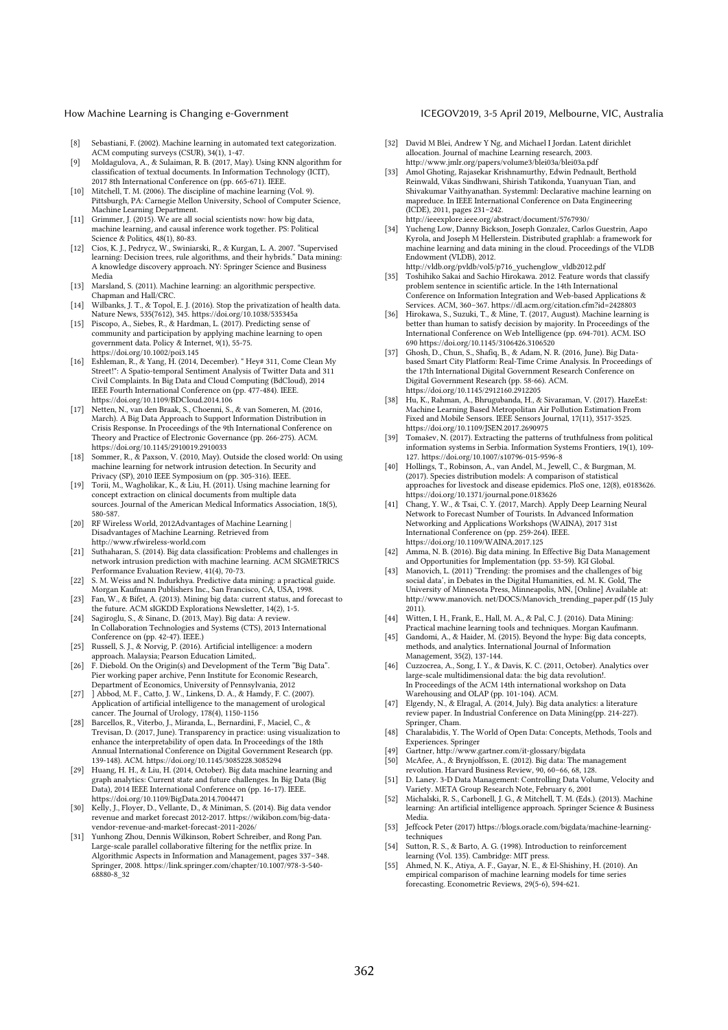## How Machine Learning is Changing e-Government **ICEGOV2019, 3-5 April 2019, Melbourne, VIC**, Australia

- [8] Sebastiani, F. (2002). Machine learning in automated text categorization.
- ACM computing surveys (CSUR), 34(1), 1-47. [9] Moldagulova, A., & Sulaiman, R. B. (2017, May). Using KNN algorithm for classification of textual documents. In Information Technology (ICIT), 2017 8th International Conference on (pp. 665-671). IEEE.
- [10] Mitchell, T. M. (2006). The discipline of machine learning (Vol. 9). Pittsburgh, PA: Carnegie Mellon University, School of Computer Science, Machine Learning Department.
- [11] Grimmer, J. (2015). We are all social scientists now: how big data, machine learning, and causal inference work together. PS: Political
- Science & Politics, 48(1), 80-83. [12] Cios, K. J., Pedrycz, W., Swiniarski, R., & Kurgan, L. A. 2007. "Supervised learning: Decision trees, rule algorithms, and their hybrids." Data mining: A knowledge discovery approach. NY: Springer Science and Business Media
- [13] Marsland, S. (2011). Machine learning: an algorithmic perspective. Chapman and Hall/CRC.
- [14] Wilbanks, J. T., & Topol, E. J. (2016). Stop the privatization of health data. Nature News, 535(7612), 345. https://doi.org/10.1038/535345a
- [15] Piscopo, A., Siebes, R., & Hardman, L. (2017). Predicting sense of community and participation by applying machine learning to open government data. Policy & Internet, 9(1), 55-75. https://doi.org/10.1002/poi3.145
- [16] Eshleman, R., & Yang, H. (2014, December). " Hey# 311, Come Clean My Street!": A Spatio-temporal Sentiment Analysis of Twitter Data and 311 Civil Complaints. In Big Data and Cloud Computing (BdCloud), 2014 IEEE Fourth International Conference on (pp. 477-484). IEEE.
- https://doi.org/10.1109/BDCloud.2014.106 [17] Netten, N., van den Braak, S., Choenni, S., & van Someren, M. (2016, March). A Big Data Approach to Support Information Distribution in Crisis Response. In Proceedings of the 9th International Conference on Theory and Practice of Electronic Governance (pp. 266-275). ACM. https://doi.org/10.1145/2910019.2910033
- [18] Sommer, R., & Paxson, V. (2010, May). Outside the closed world: On using machine learning for network intrusion detection. In Security and
- Privacy (SP), 2010 IEEE Symposium on (pp. 305-316). IEEE. [19] Torii, M., Wagholikar, K., & Liu, H. (2011). Using machine learning for concept extraction on clinical documents from multiple data sources. Journal of the American Medical Informatics Association, 18(5), 580-587.
- [20] RF Wireless World, 2012Advantages of Machine Learning | Disadvantages of Machine Learning. Retrieved from http://www.rfwireless-world.com
- [21] Suthaharan, S. (2014). Big data classification: Problems and challenges in network intrusion prediction with machine learning. ACM SIGMETRICS Performance Evaluation Review, 41(4), 70-73.
- [22] S. M. Weiss and N. Indurkhya. Predictive data mining: a practical guide. Morgan Kaufmann Publishers Inc., San Francisco, CA, USA, 1998.
- [23] Fan, W., & Bifet, A. (2013). Mining big data: current status, and forecast to the future. ACM sIGKDD Explorations Newsletter, 14(2), 1-5.
- [24] Sagiroglu, S., & Sinanc, D. (2013, May). Big data: A review. In Collaboration Technologies and Systems (CTS), 2013 International Conference on (pp. 42-47). IEEE.)
- [25] Russell, S. J., & Norvig, P. (2016). Artificial intelligence: a modern approach. Malaysia; Pearson Education Limited,.
- [26] F. Diebold. On the Origin(s) and Development of the Term "Big Data". Pier working paper archive, Penn Institute for Economic Research,
- Department of Economics, University of Pennsylvania, 2012 [27] ] Abbod, M. F., Catto, J. W., Linkens, D. A., & Hamdy, F. C. (2007). Application of artificial intelligence to the management of urological cancer. The Journal of Urology, 178(4), 1150-1156
- [28] Barcellos, R., Viterbo, J., Miranda, L., Bernardini, F., Maciel, C., & Trevisan, D. (2017, June). Transparency in practice: using visualization to enhance the interpretability of open data. In Proceedings of the 18th Annual International Conference on Digital Government Research (pp. 139-148). ACM. https://doi.org/10.1145/3085228.3085294
- [29] Huang, H. H., & Liu, H. (2014, October). Big data machine learning and graph analytics: Current state and future challenges. In Big Data (Big Data), 2014 IEEE International Conference on (pp. 16-17). IEEE. https://doi.org/10.1109/BigData.2014.7004471
- [30] Kelly, J., Floyer, D., Vellante, D., & Miniman, S. (2014). Big data vendor revenue and market forecast 2012-2017. https://wikibon.com/big-datavendor-revenue-and-market-forecast-2011-2026/
- [31] Yunhong Zhou, Dennis Wilkinson, Robert Schreiber, and Rong Pan. Large-scale parallel collaborative filtering for the netflix prize. In Algorithmic Aspects in Information and Management, pages 337–348. Springer, 2008. https://link.springer.com/chapter/10.1007/978-3-540- 68880-8\_32
- [32] David M Blei, Andrew Y Ng, and Michael I Jordan. Latent dirichlet allocation. Journal of machine Learning research, 2003. http://www.jmlr.org/papers/volume3/blei03a/blei03a.pdf
- [33] Amol Ghoting, Rajasekar Krishnamurthy, Edwin Pednault, Berthold Reinwald, Vikas Sindhwani, Shirish Tatikonda, Yuanyuan Tian, and Shivakumar Vaithyanathan. Systemml: Declarative machine learning on mapreduce. In IEEE International Conference on Data Engineering (ICDE), 2011, pages 231–242. http://ieeexplore.ieee.org/abstract/document/5767930/
- [34] Yucheng Low, Danny Bickson, Joseph Gonzalez, Carlos Guestrin, Aapo Kyrola, and Joseph M Hellerstein. Distributed graphlab: a framework for machine learning and data mining in the cloud. Proceedings of the VLDB Endowment (VLDB), 2012. http://vldb.org/pvldb/vol5/p716\_yuchenglow\_vldb2012.pdf
- [35] Toshihiko Sakai and Sachio Hirokawa. 2012. Feature words that classify problem sentence in scientific article. In the 14th International Conference on Information Integration and Web-based Applications & Services. ACM, 360–367. https://dl.acm.org/citation.cfm?id=2428803
- [36] Hirokawa, S., Suzuki, T., & Mine, T. (2017, August). Machine learning is better than human to satisfy decision by majority. In Proceedings of the International Conference on Web Intelligence (pp. 694-701). ACM. ISO 690 https://doi.org/10.1145/3106426.3106520
- [37] Ghosh, D., Chun, S., Shafiq, B., & Adam, N. R. (2016, June). Big Databased Smart City Platform: Real-Time Crime Analysis. In Proceedings of the 17th International Digital Government Research Conference on Digital Government Research (pp. 58-66). ACM. https://doi.org/10.1145/2912160.2912205
- [38] Hu, K., Rahman, A., Bhrugubanda, H., & Sivaraman, V. (2017). HazeEst: Machine Learning Based Metropolitan Air Pollution Estimation From Fixed and Mobile Sensors. IEEE Sensors Journal, 17(11), 3517-3525. https://doi.org/10.1109/JSEN.2017.2690975
- [39] Tomašev, N. (2017). Extracting the patterns of truthfulness from political information systems in Serbia. Information Systems Frontiers, 19(1), 109- 127. https://doi.org/10.1007/s10796-015-9596-8
- [40] Hollings, T., Robinson, A., van Andel, M., Jewell, C., & Burgman, M. (2017). Species distribution models: A comparison of statistical approaches for livestock and disease epidemics. PloS one, 12(8), e0183626. https://doi.org/10.1371/journal.pone.0183626
- [41] Chang, Y. W., & Tsai, C. Y. (2017, March). Apply Deep Learning Neural Network to Forecast Number of Tourists. In Advanced Information Networking and Applications Workshops (WAINA), 2017 31st International Conference on (pp. 259-264). IEEE. https://doi.org/10.1109/WAINA.2017.125
- [42] Amma, N. B. (2016). Big data mining. In Effective Big Data Management and Opportunities for Implementation (pp. 53-59). IGI Global. [43] Manovich, L. (2011) 'Trending: the promises and the challenges of big
- social data', in Debates in the Digital Humanities, ed. M. K. Gold, The University of Minnesota Press, Minneapolis, MN, [Online] Available at: http://www.manovich. net/DOCS/Manovich\_trending\_paper.pdf (15 July 2011).
- [44] Witten, I. H., Frank, E., Hall, M. A., & Pal, C. J. (2016). Data Mining: Practical machine learning tools and techniques. Morgan Kaufmann.
- [45] Gandomi, A., & Haider, M. (2015). Beyond the hype: Big data concepts, methods, and analytics. International Journal of Information Management, 35(2), 137-144.
- [46] Cuzzocrea, A., Song, I. Y., & Davis, K. C. (2011, October). Analytics over large-scale multidimensional data: the big data revolution!. In Proceedings of the ACM 14th international workshop on Data Warehousing and OLAP (pp. 101-104). ACM. [47] Elgendy, N., & Elragal, A. (2014, July). Big data analytics: a literature
- review paper. In Industrial Conference on Data Mining(pp. 214-227).
- Springer, Cham. [48] Charalabidis, Y. The World of Open Data: Concepts, Methods, Tools and Experiences. Springer
- [49] Gartner, http://www.gartner.com/it-glossary/bigdata [50] McAfee, A., & Brynjolfsson, E. (2012). Big data: The management
- revolution. Harvard Business Review, 90, 60–66, 68, 128.
- [51] D. Laney. 3-D Data Management: Controlling Data Volume, Velocity and Variety. META Group Research Note, February 6, 2001
- [52] Michalski, R. S., Carbonell, J. G., & Mitchell, T. M. (Eds.). (2013). Machine learning: An artificial intelligence approach. Springer Science & Business Media.
- [53] Jeffcock Peter (2017) https://blogs.oracle.com/bigdata/machine-learningtechniques
- [54] Sutton, R. S., & Barto, A. G. (1998). Introduction to reinforcement learning (Vol. 135). Cambridge: MIT press.
- [55] Ahmed, N. K., Atiya, A. F., Gayar, N. E., & El-Shishiny, H. (2010). An empirical comparison of machine learning models for time series forecasting. Econometric Reviews, 29(5-6), 594-621.